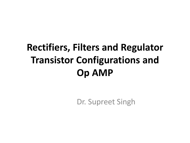## **Rectifiers, Filters and Regulator Transistor Configurations and Op AMP**

Dr. Supreet Singh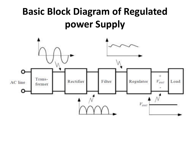## **Basic Block Diagram of Regulated power Supply**

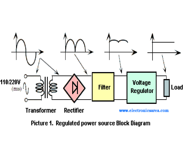

Picture 1. Regulated power source Block Diagram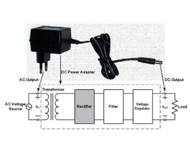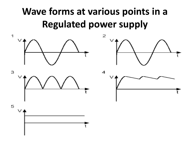## **Wave forms at various points in a Regulated power supply**







 $\overline{\mathbf{5}}$ 

 $\blacktriangle$ 

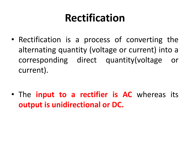## **Rectification**

• Rectification is a process of converting the alternating quantity (voltage or current) into a corresponding direct quantity(voltage or current).

• The **input to a rectifier is AC** whereas its **output is unidirectional or DC.**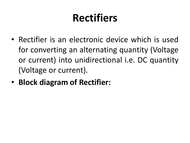## **Rectifiers**

- Rectifier is an electronic device which is used for converting an alternating quantity (Voltage or current) into unidirectional i.e. DC quantity (Voltage or current).
- **Block diagram of Rectifier:**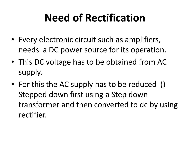## **Need of Rectification**

- Every electronic circuit such as amplifiers, needs a DC power source for its operation.
- This DC voltage has to be obtained from AC supply.
- For this the AC supply has to be reduced () Stepped down first using a Step down transformer and then converted to dc by using rectifier.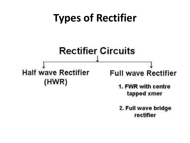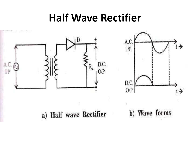## **Half Wave Rectifier**

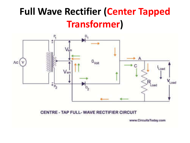## **Full Wave Rectifier (Center Tapped Transformer)**



#### CENTRE - TAP FULL- WAVE RECTIFIER CIRCUIT

www.CircuitsToday.com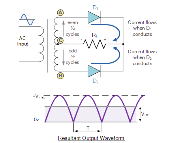



**Resultant Output Waveform**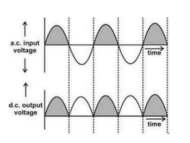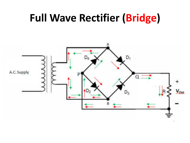## **Full Wave Rectifier (Bridge)**

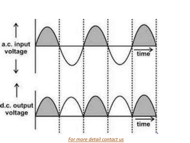

*[For more detail contact us](http://www.pcpolytechnic.com/contact-us.html)*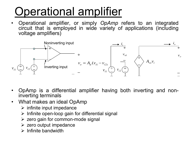# Operational amplifier

• Operational amplifier, or simply *OpAmp* refers to an integrated circuit that is employed in wide variety of applications (including voltage amplifiers)



- OpAmp is a differential amplifier having both inverting and noninverting terminals
- What makes an ideal OpAmp
	- $\triangleright$  infinite input impedance
	- $\triangleright$  Infinite open-loop gain for differential signal
	- $\triangleright$  zero gain for common-mode signal
	- $\triangleright$  zero output impedance
	- $\triangleright$  Infinite bandwidth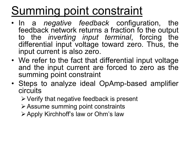# Summing point constraint

- In a *negative feedback* configuration, the feedback network returns a fraction fo the output<br>to the *inverting input terminal*, forcing the to the *inverting input terminal*, forcing differential input voltage toward zero. Thus, the input current is also zero.
- We refer to the fact that differential input voltage and the input current are forced to zero as the summing point constraint
- Steps to analyze ideal OpAmp-based amplifier circuits
	- $\triangleright$  Verify that negative feedback is present
	- Assume summing point constraints
	- Apply Kirchhoff's law or Ohm's law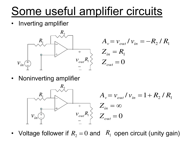# Some useful amplifier circuits

• Inverting amplifier



$$
A_v = v_{out} / v_{in} = -R_2 / R_1
$$
  
\n
$$
Z_{in} = R_1
$$
  
\n
$$
R_i \gtrless Z_{out} = 0
$$

• Noninverting amplifier



• Voltage follower if  $R_2 = 0$  and  $R_1$  open circuit (unity gain)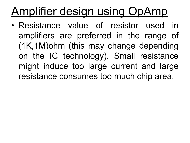# Amplifier design using OpAmp

• Resistance value of resistor used in amplifiers are preferred in the range of (1K,1M)ohm (this may change depending on the IC technology). Small resistance might induce too large current and large resistance consumes too much chip area.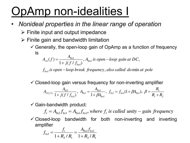# OpAmp non-idealities I

- *Nonideal properties in the linear range of operation*
	- $\triangleright$  Finite input and output impedance
	- $\triangleright$  Finite gain and bandwidth limitation
		- $\checkmark$  Generally, the open-loop gain of OpAmp as a function of frequency is

$$
A_{ol}(f) = \frac{A_{0ol}}{1 + j(f/f_{bol})}, A_{0ol} \text{ is open-loop gain at DC},
$$

*f is open loop break frequency also called do at pole bol* , min

 $\checkmark$  Closed-loop gain versus frequency for non-inverting amplifier  $1$   $\cdots$   $2$ 1 0 0 0 0 0  $\mathcal{A}_{0cl} = \frac{1}{1 + \mathcal{A}_{0cl}}$ ,  $A_{0cl} = \frac{1}{1 + \mathcal{A}_{0cl}}$ ,  $f_{bcl} = f_{bol}(1 + \beta A_{0ol})$ , 1 , 1 ( / ) *R R R*  $f_{\textit{hol}} = f_{\textit{hol}}(1 + \beta A)$ *A A A j f f A*  $A_{cl(f)=1}$   $A_{ol(f)=1}$   $A_{ol}$   $A_{ol}$   $A_{ol}$   $A_{ol}$   $A_{ol}$   $A_{ol}$   $A_{ol}$   $A_{ol}$ *ol ol cl bcl cl*  $f_{c}^{cl(f)=}$  1 +  $j(f/f_{c})$ ,  $f_{c}^{I}f_{0}^{I}$  = 1 +  $\beta A_{c}$ ,  $f_{bc}^{I}$  ,  $f_{bc}^{I}$  =  $f_{bc}^{I}f_{0}^{I}$ ,  $f_{c}^{I}$  =  $R_{c}$  +  $=$  t,  $(1 + B A_{0})$ ,  $B =$ ╅  $=\frac{F_{0cl}}{1+i(f/f_{i})},\ A_{0cl}=\frac{F_{0ol}}{1+\beta A_{0il}},\ f_{bcl}=f_{bol}(1+\beta A_{0ol}),\ \beta$  $\beta$ i

 $\checkmark$  Gain-bandwidth product:

 $f_t = A_{0ct} f_{bct} = A_{0ol} f_{bot}$ , where  $f_t$  is called unity – gain frequency

 $\checkmark$  Closed-loop bandwidth for both non-inverting and inverting amplifier

$$
f_{bcl} = \frac{f_t}{1 + R_2 / R_1} = \frac{A_{0ol} f_{bol}}{1 + R_2 / R_1}
$$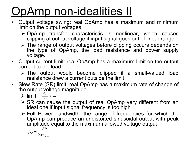# OpAmp non-idealities II

- Output voltage swing: real OpAmp has a maximum and minimum limit on the output voltages
	- OpAmp transfer characteristic is nonlinear, which causes clipping at output voltage if input signal goes out of linear range
	- The range of output voltages before clipping occurs depends on the type of OpAmp, the load resistance and power supply voltage.
- Output current limit: real OpAmp has a maximum limit on the output current to the load
	- The output would become clipped if a small-valued load resistance drew a current outside the limit
- Slew Rate (SR) limit: real OpAmp has a maximum rate of change of the output voltage magnitude
	- $\triangleright$  limit  $\left|\frac{dv_{o}}{dt}\right| \leq SR$
	- $\triangleright$  SR can cause the output of real OpAmp very different from an ideal one if input signal frequency is too high
	- $\triangleright$  Full Power bandwidth: the range of frequencies for which the OpAmp can produce an undistorted sinusoidal output with peak amplitude equal to the maximum allowed voltage output

$$
f_{FP} = \frac{SR}{2\pi v_{o\text{max}}}
$$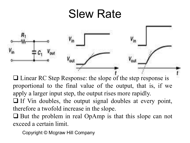## Slew Rate



□ Linear RC Step Response: the slope of the step response is proportional to the final value of the output, that is, if we apply a larger input step, the output rises more rapidly.

 $\Box$  If Vin doubles, the output signal doubles at every point, therefore a twofold increase in the slope.

 $\Box$  But the problem in real OpAmp is that this slope can not exceed a certain limit.

Copyright © Mcgraw Hill Company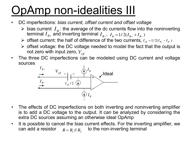# OpAmp non-idealities III

- DC imperfections: *bias current, offset current and offset voltage*
	- $\triangleright$  bias current  $I_B$ : the average of the dc currents flow into the noninverting terminal  $I_{B+}$  and inverting terminal  $I_{B-}$ ,  $I_{B} = 1/2(I_{B+} + I_{B-})$
	- $\triangleright$  offset current: the half of difference of the two currents,  $I_{\text{off}} = 1/2(I_{B+} I_{B-})$
	- $\triangleright$  offset voltage: the DC voltage needed to model the fact that the output is not zero with input zero,  $V_{\mathit{off}}$
- The three DC imperfections can be modeled using DC current and voltage sources



- The effects of DC imperfections on both inverting and noninverting amplifier is to add a DC voltage to the output. It can be analyzed by considering the extra DC sources assuming an otherwise ideal OpAmp
- It is possible to cancel the bias current effects. For the inverting amplifier, we can add a resistor  $R = R_1 \# R_2$  to the non-inverting terminal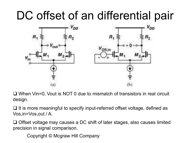# DC offset of an differential pair



□ When Vin=0, Vout is NOT 0 due to mismatch of transistors in real circuit design.

 $\Box$  It is more meaningful to specify input-referred offset voltage, defined as Vos,in=Vos,out / A.

 $\Box$  Offset voltage may causes a DC shift of later stages, also causes limited precision in signal comparison.

Copyright © Mcgraw Hill Company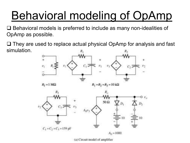# Behavioral modeling of OpAmp

 $\Box$  Behavioral models is preferred to include as many non-idealities of OpAmp as possible.

 $\Box$  They are used to replace actual physical OpAmp for analysis and fast simulation.



(a) Circuit model of amplifier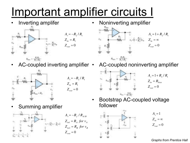# Important amplifier circuits I

• Inverting amplifer





AC-coupled inverting amplifier •



$$
A_v = -R_2 / R_1
$$
  
\n
$$
Z_{in} = R_1
$$
  
\n
$$
Z_{out} = 0
$$

- Noninverting amplifier  $Z_{_{out}} = 0$  $A_v = 1 + R_2 / R_1$  $Z_{_{in}} = \infty$ 
	- AC-coupled noninverting amplifier



 $Z_{_{out}} = 0$  $A_v = 1 + R_2 / R_1$  $Z_{\rm in} = R_{\rm bias}$ 

• Bootstrap AC-coupled voltage follower







 $Z_{_{out}} = 0$  $A_{\nu} = 1$  $Z_{_{in}} = \infty$ 

*Graphs from Prentice Hall*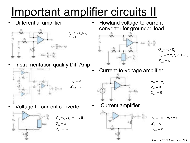# Important amplifier circuits II

• Differential amplifier



• Instrumentation qualify Diff Amp



$$
Z_{in} = \infty
$$
  

$$
Z_{out} = 0
$$

• Voltage-to-current converter



• Howland voltage-to-current converter for grounded load



- $Z_{_{out}} = \infty$  $Z_{in} = R_1 R_2 / (R_2 + R_L)$  $G_m = -1/R_2$
- Current-to-voltage amplifier



$$
R_m = -R_f
$$
  

$$
Z_{in} = 0
$$
  

$$
Z_{out} = 0
$$

• Current amplifier



$$
A_{vi} = -(1 + R_2 / R_1)
$$
  
\n
$$
Z_{in} = 0
$$
  
\n
$$
Z_{out} = \infty
$$

*Graphs from Prentice Hall*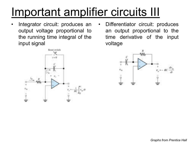# Important amplifier circuits III

• Integrator circuit: produces an output voltage proportional to the running time integral of the input signal



Differentiator circuit: produces an output proportional to the time derivative of the input voltage

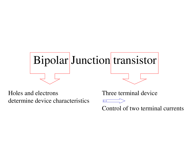

Holes and electrons determine device characteristics Three terminal device

OOL

Control of two terminal currents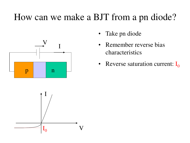### How can we make a BJT from a pn diode?





- Take pn diode
- Remember reverse bias characteristics
- Reverse saturation current:  $I_0$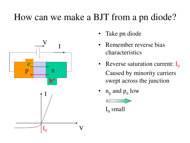### How can we make a BJT from a pn diode?





- Take pn diode
- Remember reverse bias characteristics
- Reverse saturation current:  $I_0$ Caused by minority carriers swept across the junction
- $n_p$  and  $p_n$  low



 $\mathrm{I}_0$  small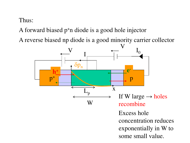#### Thus:

A forward biased p<sup>+</sup>n diode is a good hole injector

A reverse biased np diode is a good minority carrier collector

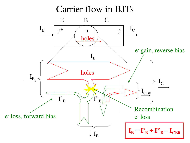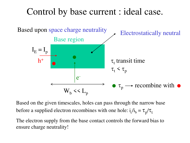#### Control by base current : ideal case.



Based on the given timescales, holes can pass through the narrow base before a supplied electron recombines with one hole:  $i_c/i_b = \tau_p/\tau_t$ 

The electron supply from the base contact controls the forward bias to ensure charge neutrality!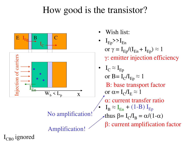### How good is the transistor?



- Wish list:
- $I_{Ep}$ >> $I_{En}$ or  $\gamma = I_{Ep}/(I_{En} + I_{Ep}) \approx 1$ g: emitter injection efficiency
- $I_C \approx I_{Ep}$ or  $B = I_C/I_{Ep} \approx 1$ B: base transport factor or  $\alpha = I_C/I_E \approx 1$ a: current transfer ratio •  $I_B \approx I_{En} + (1-B) I_{Ep}$ thus  $\beta = I_C/I_B = \alpha/(1-\alpha)$ b: current amplification factor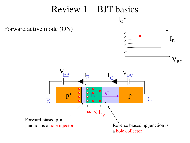#### Review  $1 - BJT$  basics  $I_{\rm C}$ Forward active mode (ON)  $\mathbf{I}_\mathrm{E}$  $V_{BC}$ V<sub>EB</sub>  $\begin{array}{ccc} \n\overline{E} & \overline{E} & \n\end{array}$   $\begin{array}{ccc} \nI_C & \overline{V}_{BC} & \n\end{array}$ I  $I_{\rm E}$  $\mathbf{E}$   $\mathbf{C}$  $\bullet$  $\bullet$  $\bullet$  $\bullet$  $\bullet$  $\bullet$ B  $\mathcal{F}$  $\mathrm{p}^+$  $\mathcal{B}$   $\downarrow$   $\downarrow$  p E C  $W < L_p$ Forward biased p<sup>+</sup>n junction is a hole injector Reverse biased np junction is a hole collector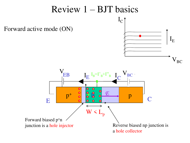#### Review 1 – BJT basics  $I_{\rm C}$ Forward active mode (ON)  $\mathbf{I}_\mathrm{E}$  $V_{BC}$ V<sub>EB</sub> V  $\text{EB}$   $I_{\text{E}} I_{\text{B}} = I_{\text{B}} + I_{\text{B}}$   $I_{\text{C}}$   $V_{\text{BC}}$  $\rm I_E\; I_B=I^{\prime}{}_{B}+I^{\prime\prime}{}_{B}$   $\rm I$  $E$ <sup>B</sup><sup>+B+B</sup><sup>1</sup>C  $\bullet$  $\bullet$  $\bullet$  $\bullet$  $\bullet$  $\mathbb{B}$  $\mathcal{F}$  $\mathrm{p}^+$  $\frac{1}{2}$  o  $\frac{1}{2}$  p E C  $W < L_p$ Forward biased p<sup>+</sup>n junction is a hole injector Reverse biased np junction is a hole collector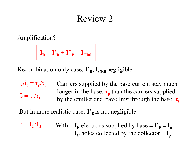#### Review 2

Amplification?

$$
I_B = I'_B + I'_B - I_{CB0}
$$

Recombination only case:  $\mathbf{I'_{B}}$ ,  $\mathbf{I_{CB0}}$  negligible

 $i_c/i_b = \tau_p$ Carriers supplied by the base current stay much longer in the base:  $\tau_p$  than the carriers supplied by the emitter and travelling through the base:  $\tau_t$ .  $\beta = \tau_p / \tau_t$ 

But in more realistic case:  $\mathbf{I'}_B$  is not negligible

 $\beta = I_{C}/I_{B}$  $/I_B$  With  $I_B$  electrons supplied by base =  $I_B^* = I_n$  $I_c$  holes collected by the collector =  $I_p$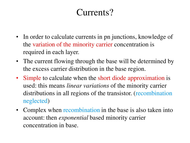### Currents?

- In order to calculate currents in pn junctions, knowledge of the variation of the minority carrier concentration is required in each layer.
- The current flowing through the base will be determined by the excess carrier distribution in the base region.
- Simple to calculate when the short diode approximation is used: this means *linear variations* of the minority carrier distributions in all regions of the transistor. (recombination neglected)
- Complex when recombination in the base is also taken into account: then *exponential* based minority carrier concentration in base.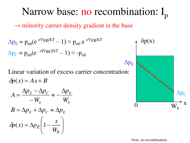### Narrow base: no recombination:  $I_p$  $\rightarrow$  minority carrier density gradient in the base  $\Delta p_{\rm E} = p_{\rm n0} (e^{eV_{\rm EB}/kT} - 1) \approx p_{\rm n0} e^{eV_{\rm EB}/kT}$  $\delta p(x)$

Linear variation of excess carrier concentration:  $\delta p(x) = Ax + B$ 

$$
A = \frac{\Delta p_E - \Delta p_C}{-W_b} \approx -\frac{\Delta p_E}{W_b}
$$

$$
B = \Delta p_E + \Delta p_C \approx \Delta p_E
$$

$$
\delta p(x) = \Delta p_E \left(1 - \frac{x}{W_b}\right)
$$

 $\Delta p_C = p_{n0}(e^{-e|V_{BC}|/kT} - 1) \approx -p_{n0}$ 



Note: no recombination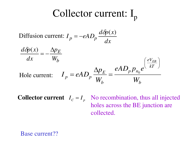## Collector current:  $I_p$

Diffusion current: *dx d p <sup>x</sup>*  $I_p = -eAD_p$  $=-eAD_{n}\frac{d\delta p(x)}{dx}$ 



**Collector current**  $I_c = I_p$  No recombination, thus all injected holes across the BE junction are collected.

Base current??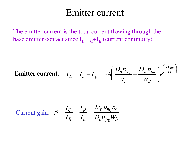#### Emitter current

The emitter current is the total current flowing through the base emitter contact since  $I_E = I_C + I_B$  (current continuity)

**Emitter current:** 
$$
I_E = I_n + I_p = eA \left( \frac{D_n n_{p_0}}{x_e} + \frac{D_p p_{n_0}}{W_B} \right) e^{\left( \frac{eV_{EB}}{kT} \right)}
$$

Current gain: 
$$
\beta = \frac{I_C}{I_B} = \frac{I_p}{I_n} = \frac{D_p p_{n_0} x_e}{D_n n_{p_0} W_b}
$$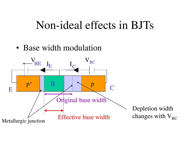### Non-ideal effects in BJTs

#### • Base width modulation

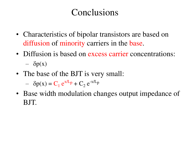### Conclusions

- Characteristics of bipolar transistors are based on diffusion of minority carriers in the base.
- Diffusion is based on excess carrier concentrations:

 $\delta p(x)$ 

• The base of the BJT is very small:

 $- \delta p(x) = C_1 e^{x/L_p} + C_2 e^{-x/L_p}$ 

• Base width modulation changes output impedance of BJT.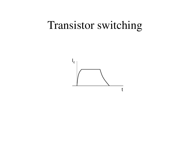## Transistor switching

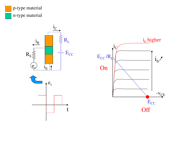

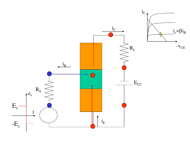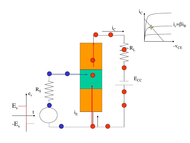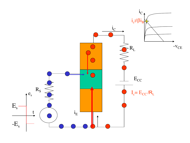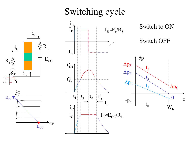### Switching cycle



 $E_{\rm s}$  $-E_{\rm s}$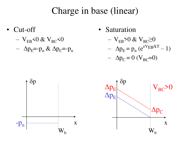#### Charge in base (linear)

- Cut-off
	- $-$  V<sub>EB</sub> $\leq 0$  & V<sub>BC</sub> $\leq 0$
	- $\Delta p_{\rm E}$ =-p<sub>n</sub> &  $\Delta p_{\rm C}$ =-p<sub>n</sub>

• Saturation

$$
- V_{EB} > 0 & V_{BC} \ge 0
$$

$$
- \Delta p_{\rm E} = p_{\rm n} \left( e^{\rm eV_{EB}/kT} - 1 \right)
$$

$$
-\ \Delta p_C = 0 \ (V_{BC} = 0)
$$

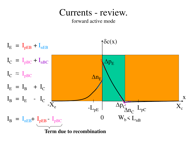#### Currents - review.

#### forward active mode

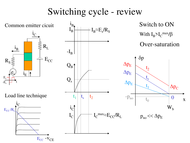### Switching cycle - review

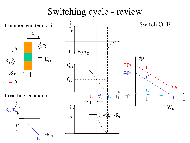### Switching cycle - review

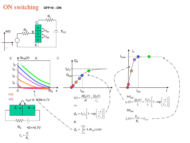#### **OFF=0→ON** ON switching



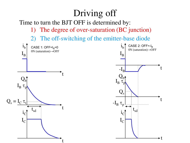### Driving off

Time to turn the BJT OFF is determined by:

- 1) The degree of over-saturation (BC junction)
- 2) The off-switching of the emitter-base diode

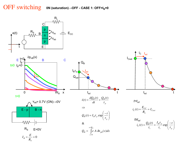#### **0N** (saturation)→OFF - CASE 1: OFF=I<sub>B</sub>=0 OFF switching

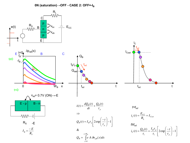**0N (saturation)→OFF - CASE 2: OFF=-I<sup>B</sup>**

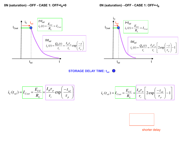**0N** (saturation)→OFF - CASE 1: OFF=I<sub>B</sub>=0 **0N** (saturation)→OFF - CASE 1: OFF=-I<sub>B</sub>

![](_page_58_Figure_2.jpeg)

shorter delay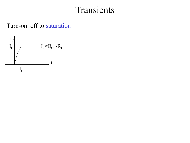#### Transients

Turn-on: off to saturation

![](_page_59_Figure_2.jpeg)